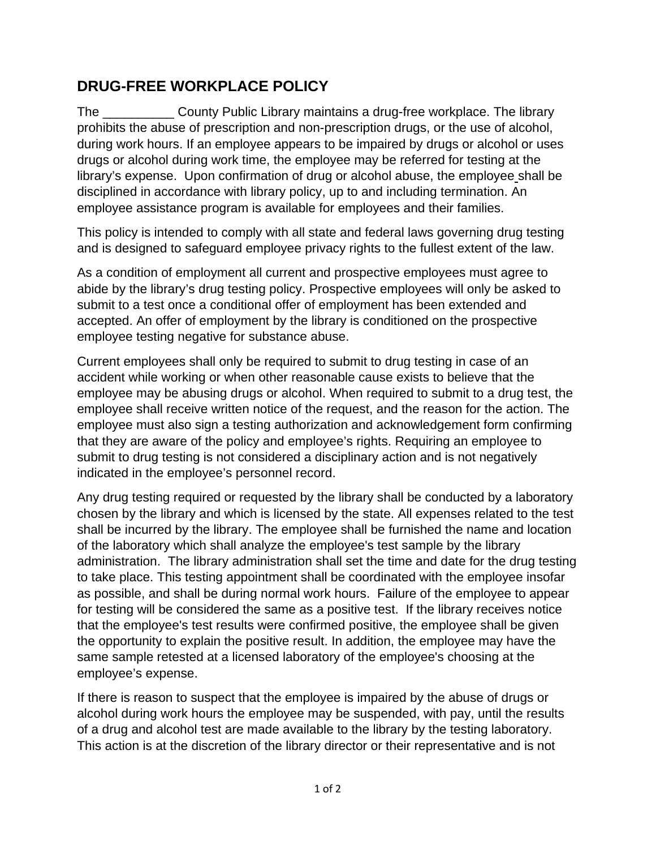## **DRUG-FREE WORKPLACE POLICY**

The **Example 20 County Public Library maintains a drug-free workplace. The library** prohibits the abuse of prescription and non-prescription drugs, or the use of alcohol, during work hours. If an employee appears to be impaired by drugs or alcohol or uses drugs or alcohol during work time, the employee may be referred for testing at the library's expense. Upon confirmation of drug or alcohol abuse, the employee shall be disciplined in accordance with library policy, up to and including termination. An employee assistance program is available for employees and their families.

This policy is intended to comply with all state and federal laws governing drug testing and is designed to safeguard employee privacy rights to the fullest extent of the law.

As a condition of employment all current and prospective employees must agree to abide by the library's drug testing policy. Prospective employees will only be asked to submit to a test once a conditional offer of employment has been extended and accepted. An offer of employment by the library is conditioned on the prospective employee testing negative for substance abuse.

Current employees shall only be required to submit to drug testing in case of an accident while working or when other reasonable cause exists to believe that the employee may be abusing drugs or alcohol. When required to submit to a drug test, the employee shall receive written notice of the request, and the reason for the action. The employee must also sign a testing authorization and acknowledgement form confirming that they are aware of the policy and employee's rights. Requiring an employee to submit to drug testing is not considered a disciplinary action and is not negatively indicated in the employee's personnel record.

Any drug testing required or requested by the library shall be conducted by a laboratory chosen by the library and which is licensed by the state. All expenses related to the test shall be incurred by the library. The employee shall be furnished the name and location of the laboratory which shall analyze the employee's test sample by the library administration. The library administration shall set the time and date for the drug testing to take place. This testing appointment shall be coordinated with the employee insofar as possible, and shall be during normal work hours. Failure of the employee to appear for testing will be considered the same as a positive test. If the library receives notice that the employee's test results were confirmed positive, the employee shall be given the opportunity to explain the positive result. In addition, the employee may have the same sample retested at a licensed laboratory of the employee's choosing at the employee's expense.

If there is reason to suspect that the employee is impaired by the abuse of drugs or alcohol during work hours the employee may be suspended, with pay, until the results of a drug and alcohol test are made available to the library by the testing laboratory. This action is at the discretion of the library director or their representative and is not